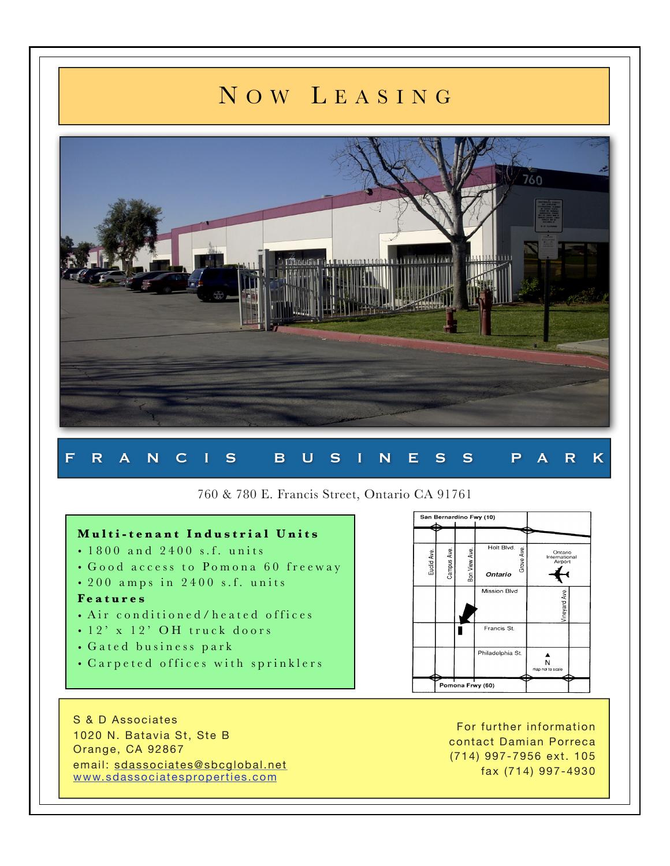# N O W L E A S I N G



## F R A N C I S B U S I N E S S P A R K

### 760 & 780 E. Francis Street, Ontario CA 91761

#### **Multi-tenant Industrial Units**

- $\cdot$  1800 and 2400 s.f. units
- Good access to Pomona 60 freeway
- $\cdot$  200 amps in 2400 s.f. units

#### **F e a t u r e s**

- Air conditioned/heated offices
- 12' x 12' OH truck doors
- Gated business park
- Carpeted offices with sprinklers



S & D Associates 1020 N. Batavia St, Ste B Orange, CA 92867 email: [sdassociates@sbcglobal.net](mailto:sdassociates@sbcglobal.net) [www.sdassociatesproperties.com](http://www.sdassociatesproperties.com)

For further information contact Damian Porreca (714) 997-7956 ext. 105 fax (714) 997-4930